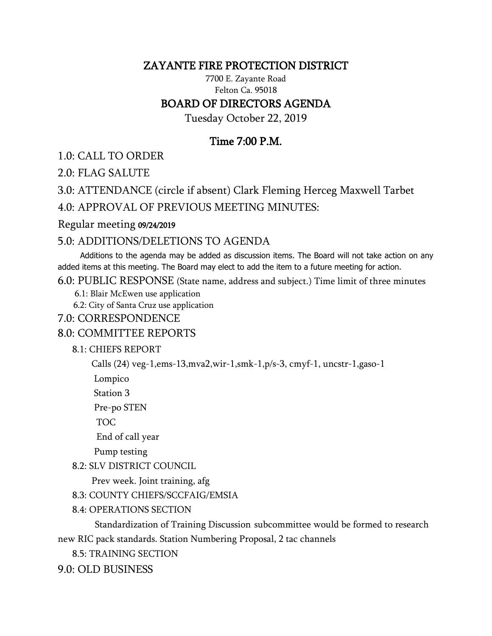## ZAYANTE FIRE PROTECTION DISTRICT

7700 E. Zayante Road Felton Ca. 95018 BOARD OF DIRECTORS AGENDA

Tuesday October 22, 2019

# Time 7:00 P.M.

1.0: CALL TO ORDER

2.0: FLAG SALUTE

3.0: ATTENDANCE (circle if absent) Clark Fleming Herceg Maxwell Tarbet

4.0: APPROVAL OF PREVIOUS MEETING MINUTES:

#### Regular meeting 09/24/2019

## 5.0: ADDITIONS/DELETIONS TO AGENDA

 Additions to the agenda may be added as discussion items. The Board will not take action on any added items at this meeting. The Board may elect to add the item to a future meeting for action.

6.0: PUBLIC RESPONSE (State name, address and subject.) Time limit of three minutes

6.1: Blair McEwen use application

6.2: City of Santa Cruz use application

### 7.0: CORRESPONDENCE

## 8.0: COMMITTEE REPORTS

### 8.1: CHIEFS REPORT

Calls (24) veg-1,ems-13,mva2,wir-1,smk-1,p/s-3, cmyf-1, uncstr-1,gaso-1

Lompico

Station 3

Pre-po STEN

TOC

End of call year

Pump testing

### 8.2: SLV DISTRICT COUNCIL

Prev week. Joint training, afg

8.3: COUNTY CHIEFS/SCCFAIG/EMSIA

8.4: OPERATIONS SECTION

 Standardization of Training Discussion subcommittee would be formed to research new RIC pack standards. Station Numbering Proposal, 2 tac channels

8.5: TRAINING SECTION

9.0: OLD BUSINESS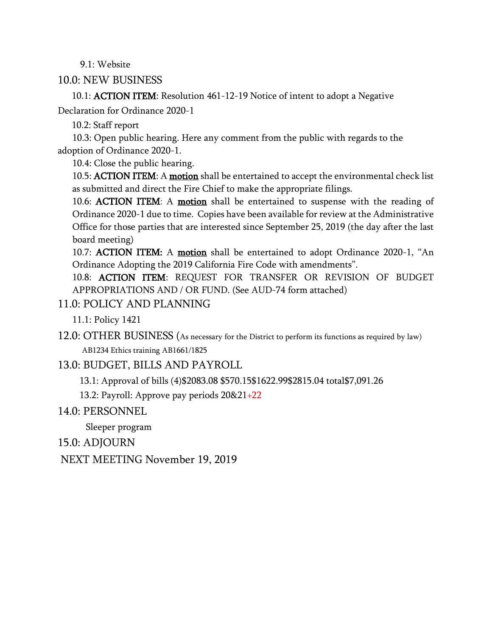9.1: Website

### 10.0: NEW BUSINESS

 10.1: ACTION ITEM: Resolution 461-12-19 Notice of intent to adopt a Negative Declaration for Ordinance 2020-1

10.2: Staff report

 10.3: Open public hearing. Here any comment from the public with regards to the adoption of Ordinance 2020-1.

10.4: Close the public hearing.

10.5: **ACTION ITEM**: A **motion** shall be entertained to accept the environmental check list as submitted and direct the Fire Chief to make the appropriate filings.

10.6: **ACTION ITEM**: A **motion** shall be entertained to suspense with the reading of Ordinance 2020-1 due to time. Copies have been available for review at the Administrative Office for those parties that are interested since September 25, 2019 (the day after the last board meeting)

10.7: **ACTION ITEM:** A **motion** shall be entertained to adopt Ordinance 2020-1, "An Ordinance Adopting the 2019 California Fire Code with amendments".

10.8: ACTION ITEM: REQUEST FOR TRANSFER OR REVISION OF BUDGET APPROPRIATIONS AND / OR FUND. (See AUD-74 form attached)

### 11.0: POLICY AND PLANNING

11.1: Policy 1421

12.0: OTHER BUSINESS (As necessary for the District to perform its functions as required by law) AB1234 Ethics training AB1661/1825

13.0: BUDGET, BILLS AND PAYROLL

13.1: Approval of bills (4)\$2083.08 \$570.15\$1622.99\$2815.04 total\$7,091.26

13.2: Payroll: Approve pay periods 20&21+22

14.0: PERSONNEL

Sleeper program

15.0: ADJOURN

NEXT MEETING November 19, 2019